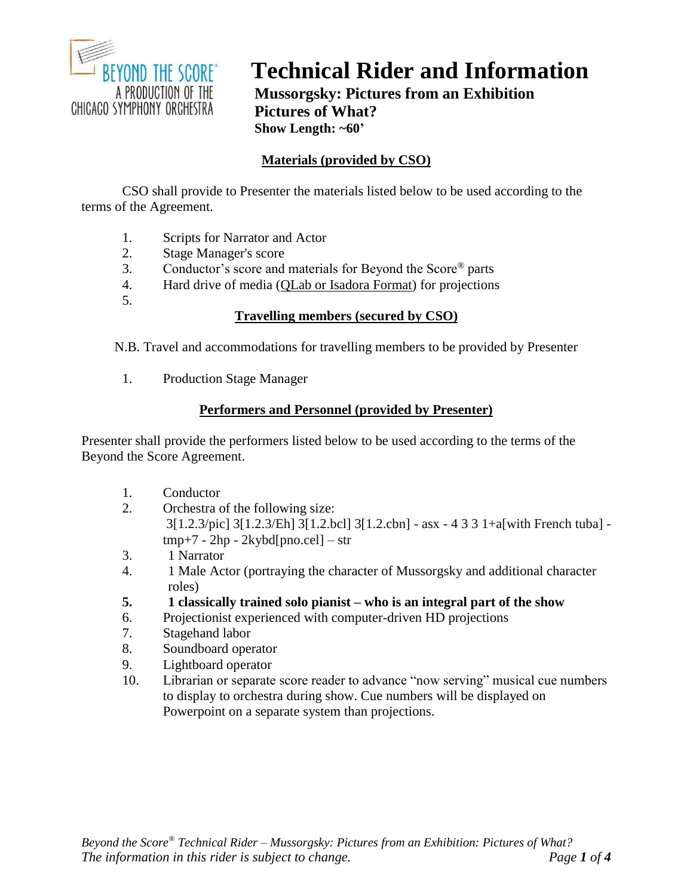

# **Technical Rider and Information**

**Mussorgsky: Pictures from an Exhibition Pictures of What? Show Length: ~60'**

# **Materials (provided by CSO)**

CSO shall provide to Presenter the materials listed below to be used according to the terms of the Agreement.

- 1. Scripts for Narrator and Actor
- 2. Stage Manager's score<br>3. Conductor's score and
- 3. Conductor's score and materials for Beyond the Score® parts
- 4. Hard drive of media (QLab or Isadora Format) for projections
- 5.

## **Travelling members (secured by CSO)**

N.B. Travel and accommodations for travelling members to be provided by Presenter

1. Production Stage Manager

# **Performers and Personnel (provided by Presenter)**

Presenter shall provide the performers listed below to be used according to the terms of the Beyond the Score Agreement.

- 1. Conductor
- 2. Orchestra of the following size: 3[1.2.3/pic] 3[1.2.3/Eh] 3[1.2.bcl] 3[1.2.cbn] - asx - 4 3 3 1+a[with French tuba] tmp+7 - 2hp - 2kybd[pno.cel] – str
- 3. 1 Narrator
- 4. 1 Male Actor (portraying the character of Mussorgsky and additional character roles)
- **5. 1 classically trained solo pianist – who is an integral part of the show**
- 6. Projectionist experienced with computer-driven HD projections
- 7. Stagehand labor
- 8. Soundboard operator
- 9. Lightboard operator
- 10. Librarian or separate score reader to advance "now serving" musical cue numbers to display to orchestra during show. Cue numbers will be displayed on Powerpoint on a separate system than projections.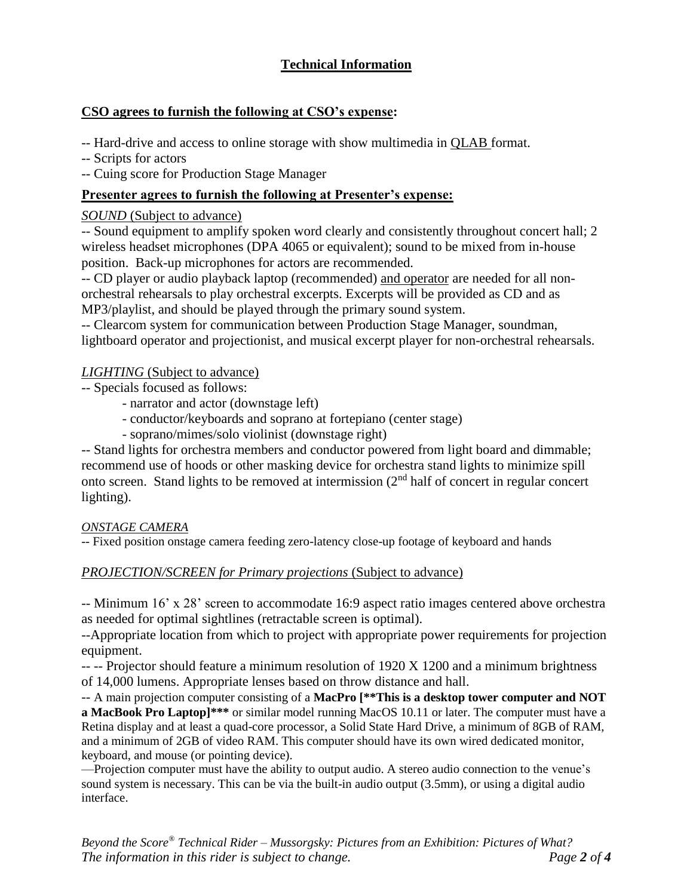# **Technical Information**

## **CSO agrees to furnish the following at CSO's expense:**

-- Hard-drive and access to online storage with show multimedia in QLAB format.

-- Scripts for actors

-- Cuing score for Production Stage Manager

## **Presenter agrees to furnish the following at Presenter's expense:**

#### *SOUND* (Subject to advance)

-- Sound equipment to amplify spoken word clearly and consistently throughout concert hall; 2 wireless headset microphones (DPA 4065 or equivalent); sound to be mixed from in-house position. Back-up microphones for actors are recommended.

-- CD player or audio playback laptop (recommended) and operator are needed for all nonorchestral rehearsals to play orchestral excerpts. Excerpts will be provided as CD and as MP3/playlist, and should be played through the primary sound system.

-- Clearcom system for communication between Production Stage Manager, soundman, lightboard operator and projectionist, and musical excerpt player for non-orchestral rehearsals.

#### *LIGHTING* (Subject to advance)

- -- Specials focused as follows:
	- narrator and actor (downstage left)
	- conductor/keyboards and soprano at fortepiano (center stage)
	- soprano/mimes/solo violinist (downstage right)

-- Stand lights for orchestra members and conductor powered from light board and dimmable; recommend use of hoods or other masking device for orchestra stand lights to minimize spill onto screen. Stand lights to be removed at intermission (2nd half of concert in regular concert lighting).

#### *ONSTAGE CAMERA*

-- Fixed position onstage camera feeding zero-latency close-up footage of keyboard and hands

#### *PROJECTION/SCREEN for Primary projections* (Subject to advance)

-- Minimum 16' x 28' screen to accommodate 16:9 aspect ratio images centered above orchestra as needed for optimal sightlines (retractable screen is optimal).

--Appropriate location from which to project with appropriate power requirements for projection equipment.

-- -- Projector should feature a minimum resolution of 1920 X 1200 and a minimum brightness of 14,000 lumens. Appropriate lenses based on throw distance and hall.

-- A main projection computer consisting of a **MacPro [\*\*This is a desktop tower computer and NOT a MacBook Pro Laptop]\*\*\*** or similar model running MacOS 10.11 or later. The computer must have a Retina display and at least a quad-core processor, a Solid State Hard Drive, a minimum of 8GB of RAM, and a minimum of 2GB of video RAM. This computer should have its own wired dedicated monitor, keyboard, and mouse (or pointing device).

—Projection computer must have the ability to output audio. A stereo audio connection to the venue's sound system is necessary. This can be via the built-in audio output (3.5mm), or using a digital audio interface.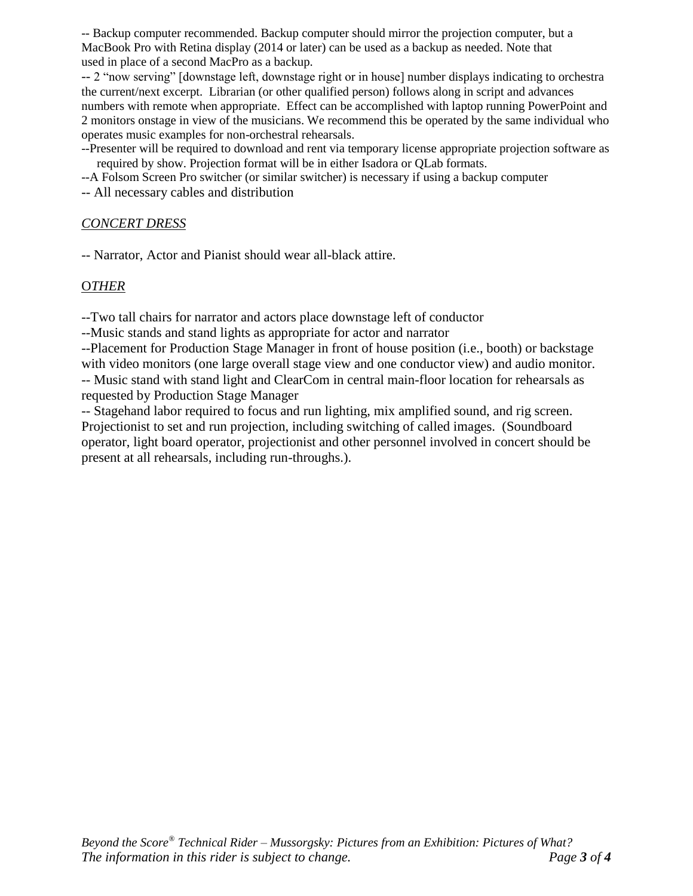-- Backup computer recommended. Backup computer should mirror the projection computer, but a MacBook Pro with Retina display (2014 or later) can be used as a backup as needed. Note that used in place of a second MacPro as a backup.

-- 2 "now serving" [downstage left, downstage right or in house] number displays indicating to orchestra the current/next excerpt. Librarian (or other qualified person) follows along in script and advances numbers with remote when appropriate. Effect can be accomplished with laptop running PowerPoint and 2 monitors onstage in view of the musicians. We recommend this be operated by the same individual who operates music examples for non-orchestral rehearsals.

--Presenter will be required to download and rent via temporary license appropriate projection software as required by show. Projection format will be in either Isadora or QLab formats.

--A Folsom Screen Pro switcher (or similar switcher) is necessary if using a backup computer

-- All necessary cables and distribution

#### *CONCERT DRESS*

-- Narrator, Actor and Pianist should wear all-black attire.

#### O*THER*

--Two tall chairs for narrator and actors place downstage left of conductor

--Music stands and stand lights as appropriate for actor and narrator

--Placement for Production Stage Manager in front of house position (i.e., booth) or backstage with video monitors (one large overall stage view and one conductor view) and audio monitor.

-- Music stand with stand light and ClearCom in central main-floor location for rehearsals as requested by Production Stage Manager

-- Stagehand labor required to focus and run lighting, mix amplified sound, and rig screen. Projectionist to set and run projection, including switching of called images. (Soundboard operator, light board operator, projectionist and other personnel involved in concert should be present at all rehearsals, including run-throughs.).